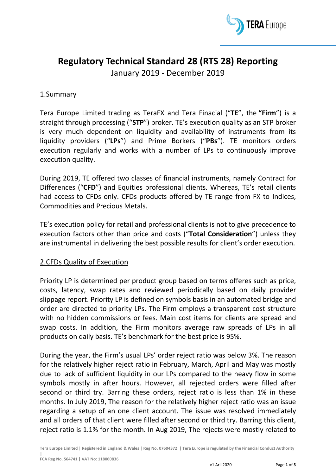

# **Regulatory Technical Standard 28 (RTS 28) Reporting**

January 2019 - December 2019

## 1.Summary

Tera Europe Limited trading as TeraFX and Tera Finacial ("**TE**", the **"Firm**") is a straight through processing ("**STP**") broker. TE's execution quality as an STP broker is very much dependent on liquidity and availability of instruments from its liquidity providers ("**LPs**") and Prime Borkers ("**PBs**"). TE monitors orders execution regularly and works with a number of LPs to continuously improve execution quality.

During 2019, TE offered two classes of financial instruments, namely Contract for Differences ("**CFD**") and Equities professional clients. Whereas, TE's retail clients had access to CFDs only. CFDs products offered by TE range from FX to Indices, Commodities and Precious Metals.

TE's execution policy for retail and professional clients is not to give precedence to execution factors other than price and costs ("**Total Consideration**") unless they are instrumental in delivering the best possible results for client's order execution.

## 2.CFDs Quality of Execution

Priority LP is determined per product group based on terms offeres such as price, costs, latency, swap rates and reviewed periodically based on daily provider slippage report. Priority LP is defined on symbols basis in an automated bridge and order are directed to priority LPs. The Firm employs a transparent cost structure with no hidden commissions or fees. Main cost items for clients are spread and swap costs. In addition, the Firm monitors average raw spreads of LPs in all products on daily basis. TE's benchmark for the best price is 95%.

During the year, the Firm's usual LPs' order reject ratio was below 3%. The reason for the relatively higher reject ratio in February, March, April and May was mostly due to lack of sufficient liquidity in our LPs compared to the heavy flow in some symbols mostly in after hours. However, all rejected orders were filled after second or third try. Barring these orders, reject ratio is less than 1% in these months. In July 2019, The reason for the relatively higher reject ratio was an issue regarding a setup of an one client account. The issue was resolved immediately and all orders of that client were filled after second or third try. Barring this client, reject ratio is 1.1% for the month. In Aug 2019, The rejects were mostly related to

**Tera Europe Limited | Registered in England & Wales | Reg No. 07604372 | Tera Europe is regulated by the Financial Conduct Authority**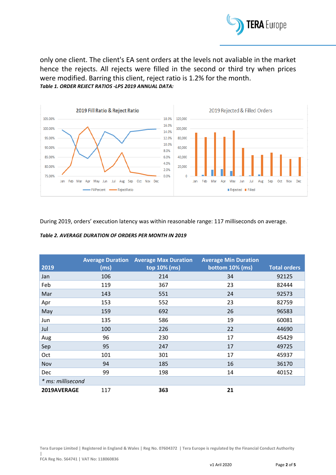

only one client. The client's EA sent orders at the levels not avaliable in the market hence the rejects. All rejects were filled in the second or third try when prices were modified. Barring this client, reject ratio is 1.2% for the month. *Table 1. ORDER REJECT RATIOS -LPS 2019 ANNUAL DATA:*



During 2019, orders' execution latency was within reasonable range: 117 milliseconds on average.

#### *Table 2. AVERAGE DURATION OF ORDERS PER MONTH IN 2019*

|                   | <b>Average Duration</b> | <b>Average Max Duration</b> | <b>Average Min Duration</b> |                     |
|-------------------|-------------------------|-----------------------------|-----------------------------|---------------------|
| 2019              | (ms)                    | top 10% (ms)                | bottom 10% (ms)             | <b>Total orders</b> |
| Jan               | 106                     | 214                         | 34                          | 92125               |
| Feb               | 119                     | 367                         | 23                          | 82444               |
| Mar               | 143                     | 551                         | 24                          | 92573               |
| Apr               | 153                     | 552                         | 23                          | 82759               |
| May               | 159                     | 692                         | 26                          | 96583               |
| Jun               | 135                     | 586                         | 19                          | 60081               |
| Jul               | 100                     | 226                         | 22                          | 44690               |
| Aug               | 96                      | 230                         | 17                          | 45429               |
| Sep               | 95                      | 247                         | 17                          | 49725               |
| Oct               | 101                     | 301                         | 17                          | 45937               |
| Nov               | 94                      | 185                         | 16                          | 36170               |
| <b>Dec</b>        | 99                      | 198                         | 14                          | 40152               |
| * ms: millisecond |                         |                             |                             |                     |
| 2019AVERAGE       | 117                     | 363                         | 21                          |                     |

**Tera Europe Limited | Registered in England & Wales | Reg No. 07604372 | Tera Europe is regulated by the Financial Conduct Authority**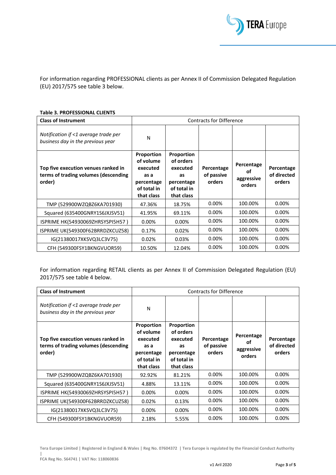

For information regarding PROFESSIONAL clients as per Annex II of Commission Delegated Regulation (EU) 2017/575 see table 3 below.

#### **Table 3. PROFESSIONAL CLIENTS**

| <b>Class of Instrument</b>                                                            | <b>Contracts for Difference</b>                                                        |                                                                                      |                                    |                                          |                                     |
|---------------------------------------------------------------------------------------|----------------------------------------------------------------------------------------|--------------------------------------------------------------------------------------|------------------------------------|------------------------------------------|-------------------------------------|
| Notification if <1 average trade per<br>business day in the previous year             | N                                                                                      |                                                                                      |                                    |                                          |                                     |
| Top five execution venues ranked in<br>terms of trading volumes (descending<br>order) | Proportion<br>of volume<br>executed<br>as a<br>percentage<br>of total in<br>that class | Proportion<br>of orders<br>executed<br>as<br>percentage<br>of total in<br>that class | Percentage<br>of passive<br>orders | Percentage<br>οf<br>aggressive<br>orders | Percentage<br>of directed<br>orders |
| TMP (529900WZQBZ6KA701930)                                                            | 47.36%                                                                                 | 18.75%                                                                               | 0.00%                              | 100.00%                                  | 0.00%                               |
| Squared (635400GNRY1S6JXJSV51)                                                        | 41.95%                                                                                 | 69.11%                                                                               | $0.00\%$                           | 100.00%                                  | 0.00%                               |
| ISPRIME HK(54930069ZHRSYSPI5H57)                                                      | 0.00%                                                                                  | $0.00\%$                                                                             | $0.00\%$                           | 100.00%                                  | 0.00%                               |
| ISPRIME UK(549300F62BRRDZKCUZ58)                                                      | 0.17%                                                                                  | 0.02%                                                                                | 0.00%                              | 100.00%                                  | 0.00%                               |
| IG(21380017XKSVQ3LC3V75)                                                              | 0.02%                                                                                  | 0.03%                                                                                | 0.00%                              | 100.00%                                  | 0.00%                               |
| CFH (549300FSY1BKNGVUOR59)                                                            | 10.50%                                                                                 | 12.04%                                                                               | 0.00%                              | 100.00%                                  | 0.00%                               |

For information regarding RETAIL clients as per Annex II of Commission Delegated Regulation (EU) 2017/575 see table 4 below.

| <b>Class of Instrument</b>                                                            | <b>Contracts for Difference</b>                                                        |                                                                                      |                                    |                                          |                                     |
|---------------------------------------------------------------------------------------|----------------------------------------------------------------------------------------|--------------------------------------------------------------------------------------|------------------------------------|------------------------------------------|-------------------------------------|
| Notification if <1 average trade per<br>business day in the previous year             | N                                                                                      |                                                                                      |                                    |                                          |                                     |
| Top five execution venues ranked in<br>terms of trading volumes (descending<br>order) | Proportion<br>of volume<br>executed<br>as a<br>percentage<br>of total in<br>that class | Proportion<br>of orders<br>executed<br>as<br>percentage<br>of total in<br>that class | Percentage<br>of passive<br>orders | Percentage<br>οf<br>aggressive<br>orders | Percentage<br>of directed<br>orders |
| TMP (529900WZQBZ6KA701930)                                                            | 92.92%                                                                                 | 81.21%                                                                               | 0.00%                              | 100.00%                                  | 0.00%                               |
| Squared (635400GNRY1S6JXJSV51)                                                        | 4.88%                                                                                  | 13.11%                                                                               | 0.00%                              | 100.00%                                  | 0.00%                               |
| ISPRIME HK(54930069ZHRSYSPI5H57)                                                      | 0.00%                                                                                  | 0.00%                                                                                | 0.00%                              | 100.00%                                  | 0.00%                               |
| ISPRIME UK(549300F62BRRDZKCUZ58)                                                      | 0.02%                                                                                  | 0.13%                                                                                | 0.00%                              | 100.00%                                  | 0.00%                               |
| IG(21380017XKSVQ3LC3V75)                                                              | 0.00%                                                                                  | 0.00%                                                                                | 0.00%                              | 100.00%                                  | 0.00%                               |
| CFH (549300FSY1BKNGVUOR59)                                                            | 2.18%                                                                                  | 5.55%                                                                                | 0.00%                              | 100.00%                                  | 0.00%                               |

**Tera Europe Limited | Registered in England & Wales | Reg No. 07604372 | Tera Europe is regulated by the Financial Conduct Authority** 

**|**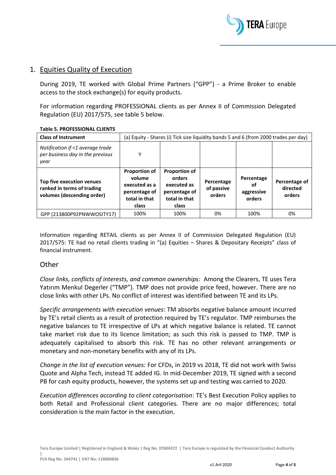

### 1. Equities Quality of Execution

During 2019, TE worked with Global Prime Partners ("GPP") - a Prime Broker to enable access to the stock exchange(s) for equity products.

For information regarding PROFESSIONAL clients as per Annex II of Commission Delegated Regulation (EU) 2017/575, see table 5 below.

| <b>Class of Instrument</b>                                                            | (a) Equity - Shares (i) Tick size liquidity bands 5 and 6 (from 2000 trades per day)       |                                                                                          |                                    |                                          |                                     |
|---------------------------------------------------------------------------------------|--------------------------------------------------------------------------------------------|------------------------------------------------------------------------------------------|------------------------------------|------------------------------------------|-------------------------------------|
| Notification if <1 average trade<br>per business day in the previous<br>year          | Y                                                                                          |                                                                                          |                                    |                                          |                                     |
| Top five execution venues<br>ranked in terms of trading<br>volumes (descending order) | <b>Proportion of</b><br>volume<br>executed as a<br>percentage of<br>total in that<br>class | <b>Proportion of</b><br>orders<br>executed as<br>percentage of<br>total in that<br>class | Percentage<br>of passive<br>orders | Percentage<br>οf<br>aggressive<br>orders | Percentage of<br>directed<br>orders |
| GPP (213800P92PNWWOSITY17)                                                            | 100%                                                                                       | 100%                                                                                     | 0%                                 | 100%                                     | 0%                                  |

#### **Table 5. PROFESSIONAL CLIENTS**

Information regarding RETAIL clients as per Annex II of Commission Delegated Regulation (EU) 2017/575: TE had no retail clients trading in "(a) Equities – Shares & Depositary Receipts" class of financial instrument.

### **Other**

*Close links, conflicts of interests, and common ownerships:* Among the Clearers, TE uses Tera Yatırım Menkul Degerler ("TMP"). TMP does not provide price feed, however. There are no close links with other LPs. No conflict of interest was identified between TE and its LPs.

*Specific arrangements with execution venues*: TM absorbs negative balance amount incurred by TE's retail clients as a result of protection required by TE's regulator. TMP reimburses the negative balances to TE irrespective of LPs at which negative balance is related. TE cannot take market risk due to its licence limitation; as such this risk is passed to TMP. TMP is adequately capitalised to absorb this risk. TE has no other relevant arrangements or monetary and non-monetary benefits with any of its LPs.

*Change in the list of execution venues:* For CFDs, in 2019 vs 2018, TE did not work with Swiss Quote and Alpha Tech, instead TE added IG. In mid-December 2019, TE signed with a second PB for cash equity products, however, the systems set up and testing was carried to 2020.

*Execution differences according to client categorisation*: TE's Best Execution Policy applies to both Retail and Professional client categories. There are no major differences; total consideration is the main factor in the execution.